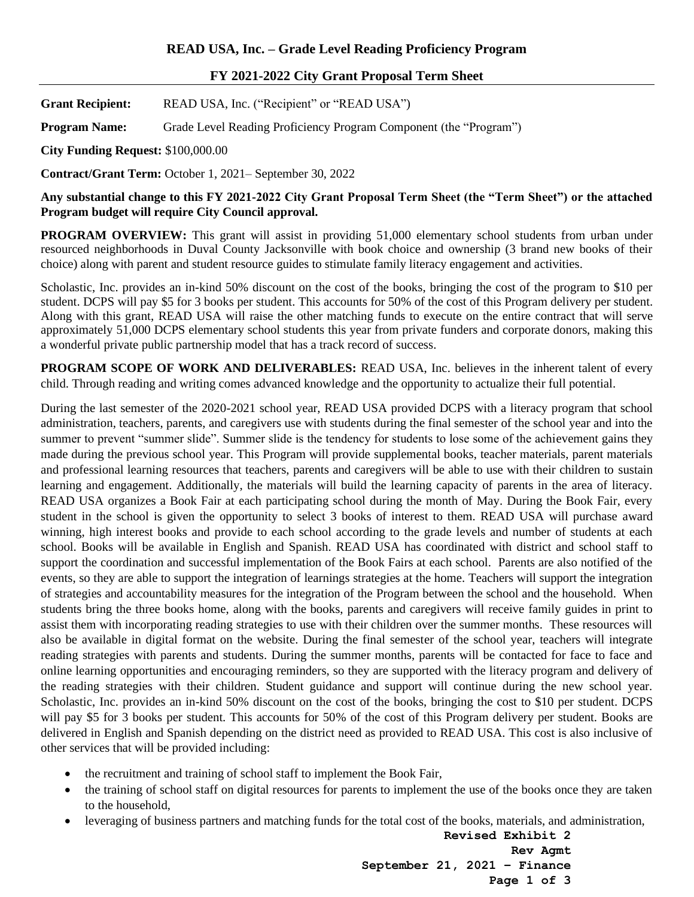## **FY 2021-2022 City Grant Proposal Term Sheet**

Grant Recipient: READ USA, Inc. ("Recipient" or "READ USA")

**Program Name:** Grade Level Reading Proficiency Program Component (the "Program")

**City Funding Request:** \$100,000.00

**Contract/Grant Term:** October 1, 2021– September 30, 2022

**Any substantial change to this FY 2021-2022 City Grant Proposal Term Sheet (the "Term Sheet") or the attached Program budget will require City Council approval.** 

**PROGRAM OVERVIEW:** This grant will assist in providing 51,000 elementary school students from urban under resourced neighborhoods in Duval County Jacksonville with book choice and ownership (3 brand new books of their choice) along with parent and student resource guides to stimulate family literacy engagement and activities.

Scholastic, Inc. provides an in-kind 50% discount on the cost of the books, bringing the cost of the program to \$10 per student. DCPS will pay \$5 for 3 books per student. This accounts for 50% of the cost of this Program delivery per student. Along with this grant, READ USA will raise the other matching funds to execute on the entire contract that will serve approximately 51,000 DCPS elementary school students this year from private funders and corporate donors, making this a wonderful private public partnership model that has a track record of success.

**PROGRAM SCOPE OF WORK AND DELIVERABLES:** READ USA, Inc. believes in the inherent talent of every child. Through reading and writing comes advanced knowledge and the opportunity to actualize their full potential.

During the last semester of the 2020-2021 school year, READ USA provided DCPS with a literacy program that school administration, teachers, parents, and caregivers use with students during the final semester of the school year and into the summer to prevent "summer slide". Summer slide is the tendency for students to lose some of the achievement gains they made during the previous school year. This Program will provide supplemental books, teacher materials, parent materials and professional learning resources that teachers, parents and caregivers will be able to use with their children to sustain learning and engagement. Additionally, the materials will build the learning capacity of parents in the area of literacy. READ USA organizes a Book Fair at each participating school during the month of May. During the Book Fair, every student in the school is given the opportunity to select 3 books of interest to them. READ USA will purchase award winning, high interest books and provide to each school according to the grade levels and number of students at each school. Books will be available in English and Spanish. READ USA has coordinated with district and school staff to support the coordination and successful implementation of the Book Fairs at each school. Parents are also notified of the events, so they are able to support the integration of learnings strategies at the home. Teachers will support the integration of strategies and accountability measures for the integration of the Program between the school and the household. When students bring the three books home, along with the books, parents and caregivers will receive family guides in print to assist them with incorporating reading strategies to use with their children over the summer months. These resources will also be available in digital format on the website. During the final semester of the school year, teachers will integrate reading strategies with parents and students. During the summer months, parents will be contacted for face to face and online learning opportunities and encouraging reminders, so they are supported with the literacy program and delivery of the reading strategies with their children. Student guidance and support will continue during the new school year. Scholastic, Inc. provides an in-kind 50% discount on the cost of the books, bringing the cost to \$10 per student. DCPS will pay \$5 for 3 books per student. This accounts for 50% of the cost of this Program delivery per student. Books are delivered in English and Spanish depending on the district need as provided to READ USA. This cost is also inclusive of other services that will be provided including:

- the recruitment and training of school staff to implement the Book Fair,
- the training of school staff on digital resources for parents to implement the use of the books once they are taken to the household,
- leveraging of business partners and matching funds for the total cost of the books, materials, and administration,

**Revised Exhibit 2 Rev Agmt September 21, 2021 – Finance Page 1 of 3**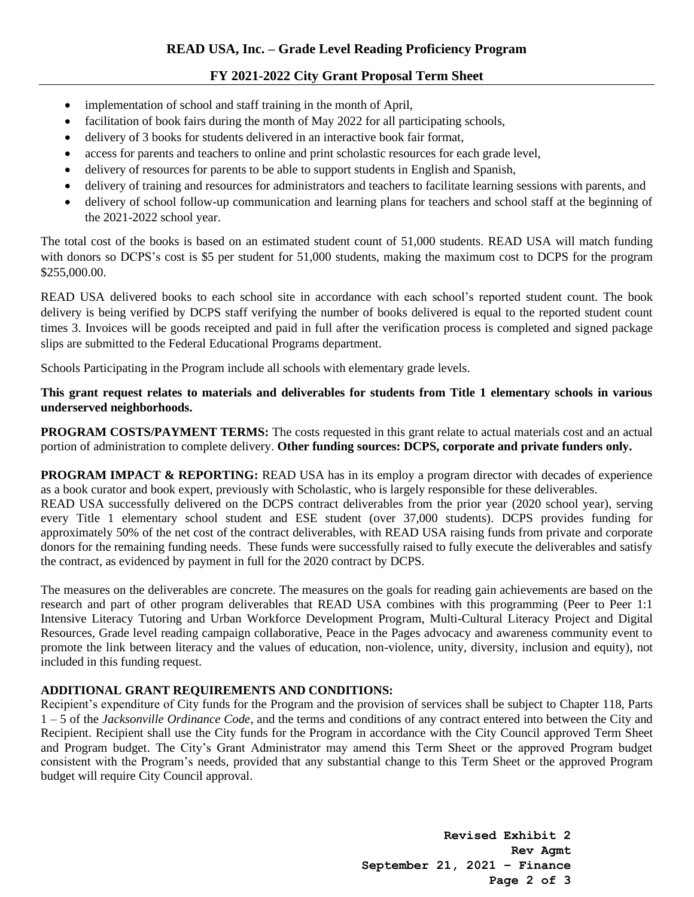# **FY 2021-2022 City Grant Proposal Term Sheet**

- implementation of school and staff training in the month of April,
- facilitation of book fairs during the month of May 2022 for all participating schools,
- delivery of 3 books for students delivered in an interactive book fair format,
- access for parents and teachers to online and print scholastic resources for each grade level,
- delivery of resources for parents to be able to support students in English and Spanish,
- delivery of training and resources for administrators and teachers to facilitate learning sessions with parents, and
- delivery of school follow-up communication and learning plans for teachers and school staff at the beginning of the 2021-2022 school year.

The total cost of the books is based on an estimated student count of 51,000 students. READ USA will match funding with donors so DCPS's cost is \$5 per student for 51,000 students, making the maximum cost to DCPS for the program \$255,000.00.

READ USA delivered books to each school site in accordance with each school's reported student count. The book delivery is being verified by DCPS staff verifying the number of books delivered is equal to the reported student count times 3. Invoices will be goods receipted and paid in full after the verification process is completed and signed package slips are submitted to the Federal Educational Programs department.

Schools Participating in the Program include all schools with elementary grade levels.

## **This grant request relates to materials and deliverables for students from Title 1 elementary schools in various underserved neighborhoods.**

**PROGRAM COSTS/PAYMENT TERMS:** The costs requested in this grant relate to actual materials cost and an actual portion of administration to complete delivery. **Other funding sources: DCPS, corporate and private funders only.**

**PROGRAM IMPACT & REPORTING:** READ USA has in its employ a program director with decades of experience as a book curator and book expert, previously with Scholastic, who is largely responsible for these deliverables.

READ USA successfully delivered on the DCPS contract deliverables from the prior year (2020 school year), serving every Title 1 elementary school student and ESE student (over 37,000 students). DCPS provides funding for approximately 50% of the net cost of the contract deliverables, with READ USA raising funds from private and corporate donors for the remaining funding needs. These funds were successfully raised to fully execute the deliverables and satisfy the contract, as evidenced by payment in full for the 2020 contract by DCPS.

The measures on the deliverables are concrete. The measures on the goals for reading gain achievements are based on the research and part of other program deliverables that READ USA combines with this programming (Peer to Peer 1:1 Intensive Literacy Tutoring and Urban Workforce Development Program, Multi-Cultural Literacy Project and Digital Resources, Grade level reading campaign collaborative, Peace in the Pages advocacy and awareness community event to promote the link between literacy and the values of education, non-violence, unity, diversity, inclusion and equity), not included in this funding request.

## **ADDITIONAL GRANT REQUIREMENTS AND CONDITIONS:**

Recipient's expenditure of City funds for the Program and the provision of services shall be subject to Chapter 118, Parts 1 – 5 of the *Jacksonville Ordinance Code*, and the terms and conditions of any contract entered into between the City and Recipient. Recipient shall use the City funds for the Program in accordance with the City Council approved Term Sheet and Program budget. The City's Grant Administrator may amend this Term Sheet or the approved Program budget consistent with the Program's needs, provided that any substantial change to this Term Sheet or the approved Program budget will require City Council approval.

> **Revised Exhibit 2 Rev Agmt September 21, 2021 – Finance Page 2 of 3**